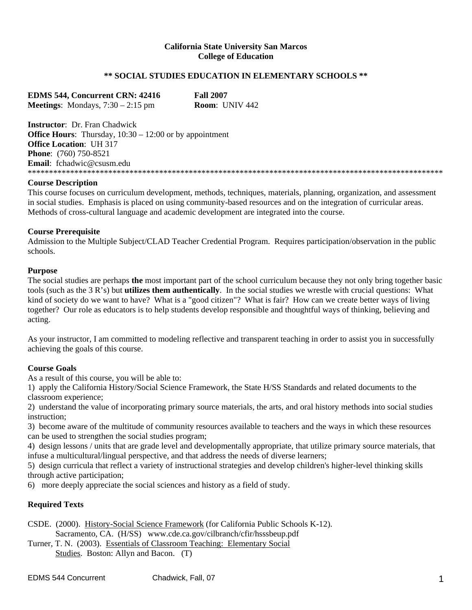### **California State University San Marcos College of Education**

### **\*\* SOCIAL STUDIES EDUCATION IN ELEMENTARY SCHOOLS \*\***

**EDMS 544, Concurrent CRN: 42416 Fall 2007 Meetings**: Mondays, 7:30 – 2:15 pm **Room**: UNIV 442

**Instructor**: Dr. Fran Chadwick **Office Hours:** Thursday,  $10:30 - 12:00$  or by appointment **Office Location**: UH 317 **Phone**: (760) 750-8521 **Email**: fchadwic@csusm.edu \*\*\*\*\*\*\*\*\*\*\*\*\*\*\*\*\*\*\*\*\*\*\*\*\*\*\*\*\*\*\*\*\*\*\*\*\*\*\*\*\*\*\*\*\*\*\*\*\*\*\*\*\*\*\*\*\*\*\*\*\*\*\*\*\*\*\*\*\*\*\*\*\*\*\*\*\*\*\*\*\*\*\*\*\*\*\*\*\*\*\*\*\*\*\*\*\*\*

### **Course Description**

This course focuses on curriculum development, methods, techniques, materials, planning, organization, and assessment in social studies. Emphasis is placed on using community-based resources and on the integration of curricular areas. Methods of cross-cultural language and academic development are integrated into the course.

### **Course Prerequisite**

Admission to the Multiple Subject/CLAD Teacher Credential Program. Requires participation/observation in the public schools.

### **Purpose**

The social studies are perhaps **the** most important part of the school curriculum because they not only bring together basic tools (such as the 3 R's) but **utilizes them authentically**. In the social studies we wrestle with crucial questions: What kind of society do we want to have? What is a "good citizen"? What is fair? How can we create better ways of living together? Our role as educators is to help students develop responsible and thoughtful ways of thinking, believing and acting.

As your instructor, I am committed to modeling reflective and transparent teaching in order to assist you in successfully achieving the goals of this course.

### **Course Goals**

As a result of this course, you will be able to:

1) apply the California History/Social Science Framework, the State H/SS Standards and related documents to the classroom experience;

2) understand the value of incorporating primary source materials, the arts, and oral history methods into social studies instruction;

3) become aware of the multitude of community resources available to teachers and the ways in which these resources can be used to strengthen the social studies program;

4) design lessons / units that are grade level and developmentally appropriate, that utilize primary source materials, that infuse a multicultural/lingual perspective, and that address the needs of diverse learners;

5) design curricula that reflect a variety of instructional strategies and develop children's higher-level thinking skills through active participation;

6) more deeply appreciate the social sciences and history as a field of study.

### **Required Texts**

CSDE. (2000). History-Social Science Framework (for California Public Schools K-12). Sacramento, CA. (H/SS) www.cde.ca.gov/cilbranch/cfir/hsssbeup.pdf

Turner, T. N. (2003). Essentials of Classroom Teaching: Elementary Social Studies. Boston: Allyn and Bacon. (T)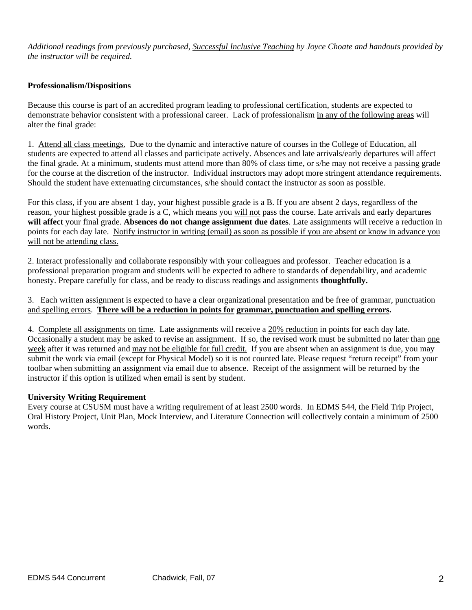*Additional readings from previously purchased, Successful Inclusive Teaching by Joyce Choate and handouts provided by the instructor will be required.* 

### **Professionalism/Dispositions**

Because this course is part of an accredited program leading to professional certification, students are expected to demonstrate behavior consistent with a professional career. Lack of professionalism in any of the following areas will alter the final grade:

1. Attend all class meetings. Due to the dynamic and interactive nature of courses in the College of Education, all students are expected to attend all classes and participate actively. Absences and late arrivals/early departures will affect the final grade. At a minimum, students must attend more than 80% of class time, or s/he may not receive a passing grade for the course at the discretion of the instructor. Individual instructors may adopt more stringent attendance requirements. Should the student have extenuating circumstances, s/he should contact the instructor as soon as possible.

For this class, if you are absent 1 day, your highest possible grade is a B. If you are absent 2 days, regardless of the reason, your highest possible grade is a C, which means you will not pass the course. Late arrivals and early departures **will affect** your final grade. **Absences do not change assignment due dates**. Late assignments will receive a reduction in points for each day late. Notify instructor in writing (email) as soon as possible if you are absent or know in advance you will not be attending class.

2. Interact professionally and collaborate responsibly with your colleagues and professor. Teacher education is a professional preparation program and students will be expected to adhere to standards of dependability, and academic honesty. Prepare carefully for class, and be ready to discuss readings and assignments **thoughtfully.** 

3. Each written assignment is expected to have a clear organizational presentation and be free of grammar, punctuation and spelling errors. **There will be a reduction in points for grammar, punctuation and spelling errors.** 

4. Complete all assignments on time. Late assignments will receive a 20% reduction in points for each day late. Occasionally a student may be asked to revise an assignment. If so, the revised work must be submitted no later than one week after it was returned and may not be eligible for full credit. If you are absent when an assignment is due, you may submit the work via email (except for Physical Model) so it is not counted late. Please request "return receipt" from your toolbar when submitting an assignment via email due to absence. Receipt of the assignment will be returned by the instructor if this option is utilized when email is sent by student.

### **University Writing Requirement**

Every course at CSUSM must have a writing requirement of at least 2500 words. In EDMS 544, the Field Trip Project, Oral History Project, Unit Plan, Mock Interview, and Literature Connection will collectively contain a minimum of 2500 words.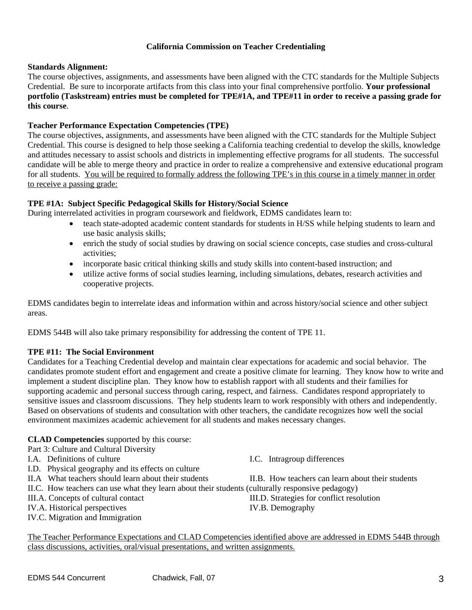### **California Commission on Teacher Credentialing**

### **Standards Alignment:**

The course objectives, assignments, and assessments have been aligned with the CTC standards for the Multiple Subjects Credential. Be sure to incorporate artifacts from this class into your final comprehensive portfolio. **Your professional portfolio (Taskstream) entries must be completed for TPE#1A, and TPE#11 in order to receive a passing grade for this course**.

### **Teacher Performance Expectation Competencies (TPE)**

The course objectives, assignments, and assessments have been aligned with the CTC standards for the Multiple Subject Credential. This course is designed to help those seeking a California teaching credential to develop the skills, knowledge and attitudes necessary to assist schools and districts in implementing effective programs for all students. The successful candidate will be able to merge theory and practice in order to realize a comprehensive and extensive educational program for all students. You will be required to formally address the following TPE's in this course in a timely manner in order to receive a passing grade:

### **TPE #1A: Subject Specific Pedagogical Skills for History/Social Science**

During interrelated activities in program coursework and fieldwork, EDMS candidates learn to:

- teach state-adopted academic content standards for students in H/SS while helping students to learn and use basic analysis skills;
- enrich the study of social studies by drawing on social science concepts, case studies and cross-cultural activities;
- incorporate basic critical thinking skills and study skills into content-based instruction; and
- utilize active forms of social studies learning, including simulations, debates, research activities and cooperative projects.

EDMS candidates begin to interrelate ideas and information within and across history/social science and other subject areas.

EDMS 544B will also take primary responsibility for addressing the content of TPE 11.

### **TPE #11: The Social Environment**

Candidates for a Teaching Credential develop and maintain clear expectations for academic and social behavior. The candidates promote student effort and engagement and create a positive climate for learning. They know how to write and implement a student discipline plan. They know how to establish rapport with all students and their families for supporting academic and personal success through caring, respect, and fairness. Candidates respond appropriately to sensitive issues and classroom discussions. They help students learn to work responsibly with others and independently. Based on observations of students and consultation with other teachers, the candidate recognizes how well the social environment maximizes academic achievement for all students and makes necessary changes.

### **CLAD Competencies** supported by this course:

Part 3: Culture and Cultural Diversity

- I.A. Definitions of culture I.C. Intragroup differences
- I.D. Physical geography and its effects on culture
- 
- II.C. How teachers can use what they learn about their students (culturally responsive pedagogy)
- 
- IV.A. Historical perspectives IV.B. Demography
- IV.C. Migration and Immigration

II.A What teachers should learn about their students II.B. How teachers can learn about their students

III.A. Concepts of cultural contact III.D. Strategies for conflict resolution

The Teacher Performance Expectations and CLAD Competencies identified above are addressed in EDMS 544B through class discussions, activities, oral/visual presentations, and written assignments.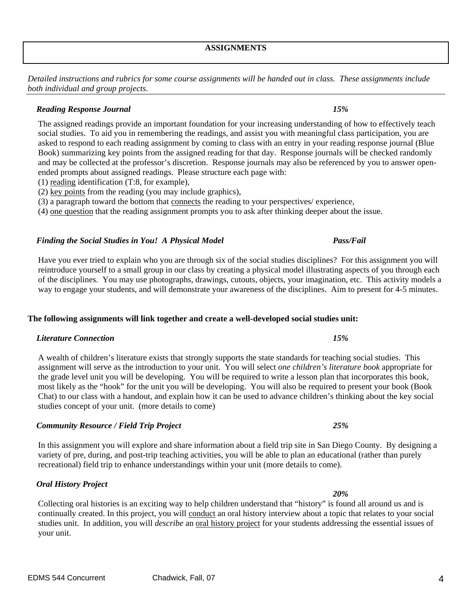*Detailed instructions and rubrics for some course assignments will be handed out in class. These assignments include both individual and group projects.* 

## *Reading Response Journal 15%*

The assigned readings provide an important foundation for your increasing understanding of how to effectively teach social studies. To aid you in remembering the readings, and assist you with meaningful class participation, you are asked to respond to each reading assignment by coming to class with an entry in your reading response journal (Blue Book) summarizing key points from the assigned reading for that day. Response journals will be checked randomly and may be collected at the professor's discretion. Response journals may also be referenced by you to answer openended prompts about assigned readings. Please structure each page with:

- (1) reading identification (T:8, for example),
- (2) key points from the reading (you may include graphics),
- (3) a paragraph toward the bottom that connects the reading to your perspectives/ experience,

(4) one question that the reading assignment prompts you to ask after thinking deeper about the issue.

### *Finding the Social Studies in You! A Physical Model Pass/Fail*

Have you ever tried to explain who you are through six of the social studies disciplines? For this assignment you will reintroduce yourself to a small group in our class by creating a physical model illustrating aspects of you through each of the disciplines. You may use photographs, drawings, cutouts, objects, your imagination, etc. This activity models a way to engage your students, and will demonstrate your awareness of the disciplines. Aim to present for 4-5 minutes.

# **The following assignments will link together and create a well-developed social studies unit:**

# *Literature Connection 15%*

A wealth of children's literature exists that strongly supports the state standards for teaching social studies. This assignment will serve as the introduction to your unit. You will select *one children's literature book* appropriate for the grade level unit you will be developing. You will be required to write a lesson plan that incorporates this book, most likely as the "hook" for the unit you will be developing. You will also be required to present your book (Book Chat) to our class with a handout, and explain how it can be used to advance children's thinking about the key social studies concept of your unit. (more details to come)

# *Community Resource / Field Trip Project 25%*

In this assignment you will explore and share information about a field trip site in San Diego County. By designing a variety of pre, during, and post-trip teaching activities, you will be able to plan an educational (rather than purely recreational) field trip to enhance understandings within your unit (more details to come).

### *Oral History Project*

Collecting oral histories is an exciting way to help children understand that "history" is found all around us and is continually created. In this project, you will conduct an oral history interview about a topic that relates to your social studies unit. In addition, you will *describe* an oral history project for your students addressing the essential issues of your unit.

# *20%*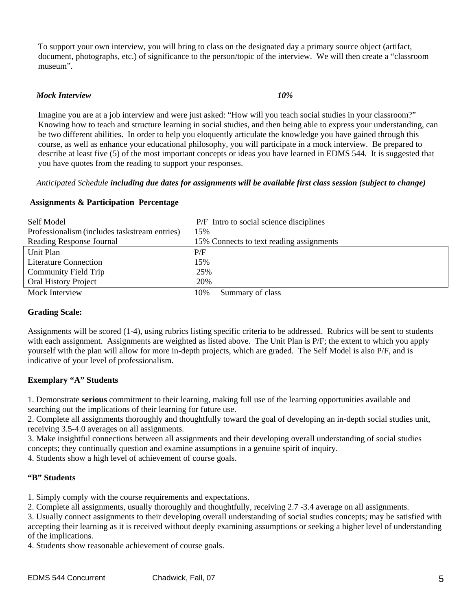To support your own interview, you will bring to class on the designated day a primary source object (artifact, document, photographs, etc.) of significance to the person/topic of the interview. We will then create a "classroom museum".

### *Mock Interview 10%*

Imagine you are at a job interview and were just asked: "How will you teach social studies in your classroom?" Knowing how to teach and structure learning in social studies, and then being able to express your understanding, can be two different abilities. In order to help you eloquently articulate the knowledge you have gained through this course, as well as enhance your educational philosophy, you will participate in a mock interview. Be prepared to describe at least five (5) of the most important concepts or ideas you have learned in EDMS 544. It is suggested that you have quotes from the reading to support your responses.

### *Anticipated Schedule including due dates for assignments will be available first class session (subject to change)*

### **Assignments & Participation Percentage**

| Self Model                                    |     | P/F Intro to social science disciplines  |
|-----------------------------------------------|-----|------------------------------------------|
| Professionalism (includes taskstream entries) | 15% |                                          |
| Reading Response Journal                      |     | 15% Connects to text reading assignments |
| Unit Plan                                     | P/F |                                          |
| <b>Literature Connection</b>                  | 15% |                                          |
| Community Field Trip                          | 25% |                                          |
| Oral History Project                          | 20% |                                          |
| Mock Interview                                | 10% | Summary of class                         |

### **Grading Scale:**

Assignments will be scored (1-4), using rubrics listing specific criteria to be addressed. Rubrics will be sent to students with each assignment. Assignments are weighted as listed above. The Unit Plan is P/F; the extent to which you apply yourself with the plan will allow for more in-depth projects, which are graded. The Self Model is also P/F, and is indicative of your level of professionalism.

### **Exemplary "A" Students**

1. Demonstrate **serious** commitment to their learning, making full use of the learning opportunities available and searching out the implications of their learning for future use.

2. Complete all assignments thoroughly and thoughtfully toward the goal of developing an in-depth social studies unit, receiving 3.5-4.0 averages on all assignments.

3. Make insightful connections between all assignments and their developing overall understanding of social studies concepts; they continually question and examine assumptions in a genuine spirit of inquiry.

4. Students show a high level of achievement of course goals.

### **"B" Students**

1. Simply comply with the course requirements and expectations.

2. Complete all assignments, usually thoroughly and thoughtfully, receiving 2.7 -3.4 average on all assignments.

3. Usually connect assignments to their developing overall understanding of social studies concepts; may be satisfied with accepting their learning as it is received without deeply examining assumptions or seeking a higher level of understanding of the implications.

4. Students show reasonable achievement of course goals.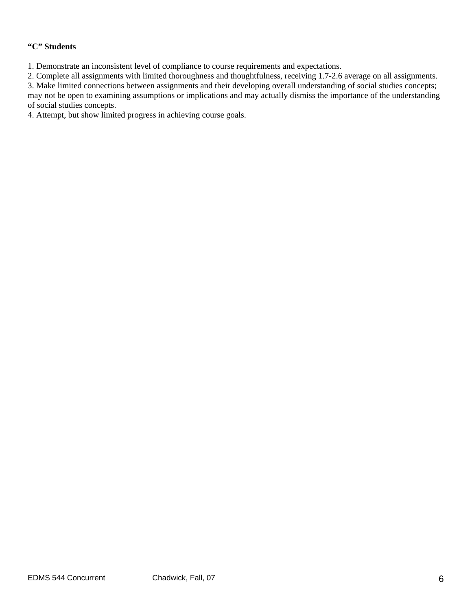### **"C" Students**

1. Demonstrate an inconsistent level of compliance to course requirements and expectations.

2. Complete all assignments with limited thoroughness and thoughtfulness, receiving 1.7-2.6 average on all assignments.

3. Make limited connections between assignments and their developing overall understanding of social studies concepts; may not be open to examining assumptions or implications and may actually dismiss the importance of the understanding of social studies concepts.

4. Attempt, but show limited progress in achieving course goals.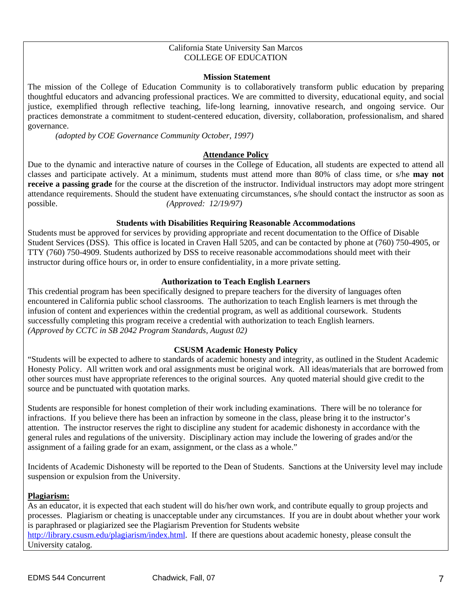### California State University San Marcos COLLEGE OF EDUCATION

### **Mission Statement**

The mission of the College of Education Community is to collaboratively transform public education by preparing thoughtful educators and advancing professional practices. We are committed to diversity, educational equity, and social justice, exemplified through reflective teaching, life-long learning, innovative research, and ongoing service. Our practices demonstrate a commitment to student-centered education, diversity, collaboration, professionalism, and shared governance.

*(adopted by COE Governance Community October, 1997)*

### **Attendance Policy**

Due to the dynamic and interactive nature of courses in the College of Education, all students are expected to attend all classes and participate actively. At a minimum, students must attend more than 80% of class time, or s/he **may not receive a passing grade** for the course at the discretion of the instructor. Individual instructors may adopt more stringent attendance requirements. Should the student have extenuating circumstances, s/he should contact the instructor as soon as possible. *(Approved: 12/19/97)* 

### **Students with Disabilities Requiring Reasonable Accommodations**

Students must be approved for services by providing appropriate and recent documentation to the Office of Disable Student Services (DSS). This office is located in Craven Hall 5205, and can be contacted by phone at (760) 750-4905, or TTY (760) 750-4909. Students authorized by DSS to receive reasonable accommodations should meet with their instructor during office hours or, in order to ensure confidentiality, in a more private setting.

### **Authorization to Teach English Learners**

This credential program has been specifically designed to prepare teachers for the diversity of languages often encountered in California public school classrooms. The authorization to teach English learners is met through the infusion of content and experiences within the credential program, as well as additional coursework. Students successfully completing this program receive a credential with authorization to teach English learners. *(Approved by CCTC in SB 2042 Program Standards, August 02)*

### **CSUSM Academic Honesty Policy**

"Students will be expected to adhere to standards of academic honesty and integrity, as outlined in the Student Academic Honesty Policy. All written work and oral assignments must be original work. All ideas/materials that are borrowed from other sources must have appropriate references to the original sources. Any quoted material should give credit to the source and be punctuated with quotation marks.

Students are responsible for honest completion of their work including examinations. There will be no tolerance for infractions. If you believe there has been an infraction by someone in the class, please bring it to the instructor's attention. The instructor reserves the right to discipline any student for academic dishonesty in accordance with the general rules and regulations of the university. Disciplinary action may include the lowering of grades and/or the assignment of a failing grade for an exam, assignment, or the class as a whole."

Incidents of Academic Dishonesty will be reported to the Dean of Students. Sanctions at the University level may include suspension or expulsion from the University.

### **Plagiarism:**

As an educator, it is expected that each student will do his/her own work, and contribute equally to group projects and processes. Plagiarism or cheating is unacceptable under any circumstances. If you are in doubt about whether your work is paraphrased or plagiarized see the Plagiarism Prevention for Students website http://library.csusm.edu/plagiarism/index.html. If there are questions about academic honesty, please consult the University catalog.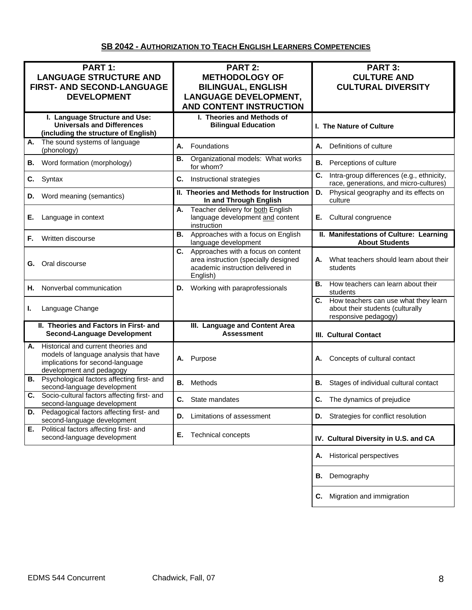# **SB 2042 - AUTHORIZATION TO TEACH ENGLISH LEARNERS COMPETENCIES**

| PART 1:<br><b>LANGUAGE STRUCTURE AND</b><br>FIRST- AND SECOND-LANGUAGE<br><b>DEVELOPMENT</b>                                                       | PART 2:<br><b>METHODOLOGY OF</b><br><b>BILINGUAL, ENGLISH</b><br><b>LANGUAGE DEVELOPMENT,</b><br><b>AND CONTENT INSTRUCTION</b> | PART 3:<br><b>CULTURE AND</b><br><b>CULTURAL DIVERSITY</b>                                             |
|----------------------------------------------------------------------------------------------------------------------------------------------------|---------------------------------------------------------------------------------------------------------------------------------|--------------------------------------------------------------------------------------------------------|
| I. Language Structure and Use:<br><b>Universals and Differences</b><br>(including the structure of English)                                        | I. Theories and Methods of<br><b>Bilingual Education</b>                                                                        | I. The Nature of Culture                                                                               |
| The sound systems of language<br>Α.<br>(phonology)                                                                                                 | А.<br>Foundations                                                                                                               | Definitions of culture<br>А.                                                                           |
| Word formation (morphology)<br>В.                                                                                                                  | Organizational models: What works<br>В.<br>for whom?                                                                            | В.<br>Perceptions of culture                                                                           |
| C.<br>Syntax                                                                                                                                       | C.<br>Instructional strategies                                                                                                  | C.<br>Intra-group differences (e.g., ethnicity,<br>race, generations, and micro-cultures)              |
| Word meaning (semantics)<br>D.                                                                                                                     | II. Theories and Methods for Instruction<br>In and Through English                                                              | D.<br>Physical geography and its effects on<br>culture                                                 |
| Language in context<br>Е.                                                                                                                          | Teacher delivery for both English<br>Α.<br>language development and content<br>instruction                                      | Cultural congruence<br>Е.                                                                              |
| Written discourse<br>F.                                                                                                                            | Approaches with a focus on English<br>В.<br>language development                                                                | II. Manifestations of Culture: Learning<br><b>About Students</b>                                       |
| Oral discourse<br>G.                                                                                                                               | C. Approaches with a focus on content<br>area instruction (specially designed<br>academic instruction delivered in<br>English)  | What teachers should learn about their<br>А.<br>students                                               |
| Nonverbal communication<br>Н.                                                                                                                      | Working with paraprofessionals<br>D.                                                                                            | В.<br>How teachers can learn about their<br>students                                                   |
| Language Change<br>L.                                                                                                                              |                                                                                                                                 | How teachers can use what they learn<br>C.<br>about their students (culturally<br>responsive pedagogy) |
| II. Theories and Factors in First- and<br><b>Second-Language Development</b>                                                                       | III. Language and Content Area<br><b>Assessment</b>                                                                             | <b>III. Cultural Contact</b>                                                                           |
| Historical and current theories and<br>А.<br>models of language analysis that have<br>implications for second-language<br>development and pedagogy | Purpose<br>А.                                                                                                                   | Concepts of cultural contact<br>А.                                                                     |
| <b>B.</b> Psychological factors affecting first- and<br>second-language development                                                                | Methods<br>В.                                                                                                                   | В.<br>Stages of individual cultural contact                                                            |
| Socio-cultural factors affecting first- and<br>C.<br>second-language development                                                                   | C. State mandates                                                                                                               | C. The dynamics of prejudice                                                                           |
| Pedagogical factors affecting first- and<br>D.<br>second-language development                                                                      | Limitations of assessment<br>D.                                                                                                 | Strategies for conflict resolution<br>D.                                                               |
| Political factors affecting first- and<br>Е.<br>second-language development                                                                        | Е.<br><b>Technical concepts</b>                                                                                                 | IV. Cultural Diversity in U.S. and CA                                                                  |
|                                                                                                                                                    |                                                                                                                                 | <b>Historical perspectives</b><br>Α.                                                                   |
|                                                                                                                                                    |                                                                                                                                 | Demography<br>В.                                                                                       |
|                                                                                                                                                    |                                                                                                                                 | Migration and immigration<br>C.                                                                        |